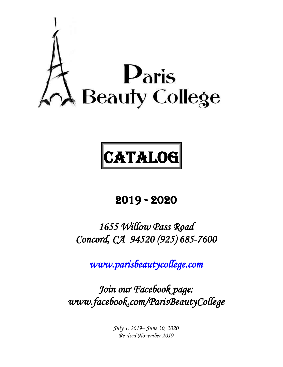

# **CATALOG**

# 2019 - 2020

# *1655 Willow Pass Road Concord, CA 94520 (925) 685-7600*

*[www.parisbeautycollege.com](http://www.parisbeautycollege.com/)* 

*Join our Facebook page: www.facebook.com/ParisBeautyCollege* 

> *July 1, 2019– June 30, 2020 Revised November 2019*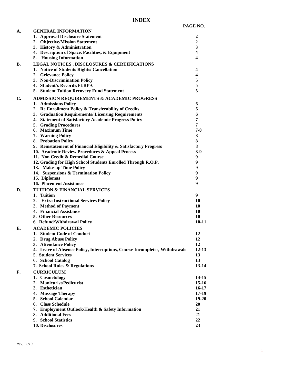| A. | <b>GENERAL INFORMATION</b>                                                 |              |
|----|----------------------------------------------------------------------------|--------------|
|    | 1. Approval Disclosure Statement                                           | 2            |
|    | 2. Objective/Mission Statement                                             | $\mathbf{2}$ |
|    | 3. History & Administration                                                | 3            |
|    | 4. Description of Space, Facilities, & Equipment                           | 4            |
|    | 5. Housing Information                                                     | 4            |
| B. | <b>LEGAL NOTICES, DISCLOSURES &amp; CERTIFICATIONS</b>                     |              |
|    | 1. Notice of Students Rights/ Cancellation                                 | 4            |
|    | 2. Grievance Policy                                                        | 4            |
|    | 3. Non-Discrimination Policy                                               | 5            |
|    | 4. Student's Records/FERPA                                                 | 5            |
|    | 5. Student Tuition Recovery Fund Statement                                 | 5            |
| C. | <b>ADMISSION REQUIREMENTS &amp; ACADEMIC PROGRESS</b>                      |              |
|    | 1. Admissions Policy                                                       | 6            |
|    | 2. Re Enrollment Policy & Transferability of Credits                       | 6            |
|    | 3. Graduation Requirements/ Licensing Requirements                         | 6            |
|    | 4. Statement of Satisfactory Academic Progress Policy                      | 7            |
|    | 5. Grading Procedures                                                      | 7            |
|    | 6. Maximum Time                                                            | $7 - 8$      |
|    | 7. Warning Policy                                                          | 8            |
|    | 8. Probation Policy                                                        | 8            |
|    | 9. Reinstatement of Financial Eligibility & Satisfactory Progress          | 8            |
|    | 10. Academic Review Procedures & Appeal Process                            | $8-9$        |
|    | 11. Non Credit & Remedial Course                                           | 9            |
|    | 12. Grading for High School Students Enrolled Through R.O.P.               | 9            |
|    | 13. Make-up Time Policy                                                    | 9            |
|    | 14. Suspensions & Termination Policy                                       | 9            |
|    | 15. Diplomas                                                               | 9            |
|    | 16. Placement Assistance                                                   | 9            |
| D. | <b>TUITION &amp; FINANCIAL SERVICES</b>                                    |              |
|    | 1. Tuition                                                                 | 9            |
|    | 2. Extra Instructional Services Policy                                     | 10           |
|    | 3. Method of Payment                                                       | 10           |
|    | 4. Financial Assistance                                                    | 10           |
|    | <b>5. Other Resources</b>                                                  | 10           |
|    | 6. Refund/Withdrawal Policy                                                | $10 - 11$    |
| E. | <b>ACADEMIC POLICIES</b>                                                   |              |
|    | 1. Student Code of Conduct                                                 | 12           |
|    | 2. Drug Abuse Policy                                                       | 12           |
|    | 3. Attendance Policy                                                       | 12           |
|    | 4. Leave of Absence Policy, Interruptions, Course Incompletes, Withdrawals | $12 - 13$    |
|    | <b>5. Student Services</b>                                                 | 13           |
|    | 6. School Catalog                                                          | 13           |
|    | 7. School Rules & Regulations                                              | $13 - 14$    |
| F. | <b>CURRICULUM</b>                                                          |              |
|    | 1. Cosmetology                                                             | 14-15        |
|    | 2. Manicurist/Pedicurist                                                   | $15 - 16$    |
|    | 3. Esthetician                                                             | $16 - 17$    |
|    | 4. Massage Therapy                                                         | $17 - 19$    |
|    | 5. School Calendar                                                         | 19-20        |
|    | 6. Class Schedule                                                          | 20           |
|    | 7. Employment Outlook/Health & Safety Information                          | 21           |
|    | 8. Additional Fees                                                         | 21           |
|    | 9. School Statistics                                                       | 22           |
|    | 10. Disclosures                                                            | 23           |
|    |                                                                            |              |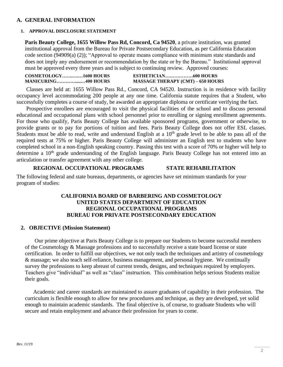#### **A. GENERAL INFORMATION**

#### **1. APPROVAL DISCLOSURE STATEMENT**

**Paris Beauty College, 1655 Willow Pass Rd, Concord, Ca 94520**, a private institution, was granted institutional approval from the Bureau for Private Postsecondary Education, as per California Education code section (94909(a) (2)); "Approval to operate means compliance with minimum state standards and does not imply any endorsement or recommendation by the state or by the Bureau." Institutional approval must be approved every three years and is subject to continuing review. Approved courses:

| COSMETOLOGY1600 HOURS |                                          |  |
|-----------------------|------------------------------------------|--|
| MANICURING400 HOURS   | <b>MASSAGE THERAPY (CMT) – 650 HOURS</b> |  |

 Classes are held at: 1655 Willow Pass Rd., Concord, CA 94520. Instruction is in residence with facility occupancy level accommodating 200 people at any one time. California statute requires that a Student, who successfully completes a course of study, be awarded an appropriate diploma or certificate verifying the fact.

 Prospective enrollees are encouraged to visit the physical facilities of the school and to discuss personal educational and occupational plans with school personnel prior to enrolling or signing enrollment agreements. For those who qualify, Paris Beauty College has available sponsored programs, government or otherwise, to provide grants or to pay for portions of tuition and fees. Paris Beauty College does not offer ESL classes. Students must be able to read, write and understand English at a  $10<sup>th</sup>$  grade level to be able to pass all of the required tests at 75% or higher. Paris Beauty College will administer an English test to students who have completed school in a non-English speaking country. Passing this test with a score of 70% or higher will help to determine a 10<sup>th</sup> grade understanding of the English language. Paris Beauty College has not entered into an articulation or transfer agreement with any other college.

#### **REGIONAL OCCUPATIONAL PROGRAMS STATE REHABILITATION**

The following federal and state bureaus, departments, or agencies have set minimum standards for your program of studies:

#### **CALIFORNIA BOARD OF BARBERING AND COSMETOLOGY UNITED STATES DEPARTMENT OF EDUCATION REGIONAL OCCUPATIONAL PROGRAMS BUREAU FOR PRIVATE POSTSECONDARY EDUCATION**

#### **2. OBJECTIVE (Mission Statement)**

 Our prime objective at Paris Beauty College is to prepare our Students to become successful members of the Cosmetology & Massage professions and to successfully receive a state board license or state certification. In order to fulfill our objectives, we not only teach the techniques and artistry of cosmetology & massage; we also teach self-reliance, business management, and personal hygiene. We continually survey the professions to keep abreast of current trends, designs, and techniques required by employers. Teachers give "individual" as well as "class" instruction. This combination helps serious Students realize their goals.

Academic and career standards are maintained to assure graduates of capability in their profession. The curriculum is flexible enough to allow for new procedures and technique, as they are developed, yet solid enough to maintain academic standards. The final objective is, of course, to graduate Students who will secure and retain employment and advance their profession for years to come.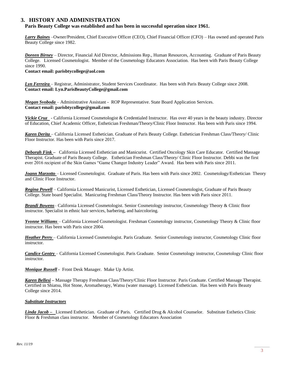#### **3. HISTORY AND ADMINISTRATION**

#### **Paris Beauty College was established and has been in successful operation since 1961.**

*Larry Baines* –Owner/President, Chief Executive Officer (CEO), Chief Financial Officer (CFO) – Has owned and operated Paris Beauty College since 1982.

*Doreen Birney* – Director, Financial Aid Director, Admissions Rep., Human Resources, Accounting. Graduate of Paris Beauty College. Licensed Cosmetologist. Member of the Cosmetology Educators Association. Has been with Paris Beauty College since 1990.

**Contact email: parisbtycollege@aol.com**

*Lyn Ferreira* – Registrar, Administrator, Student Services Coordinator. Has been with Paris Beauty College since 2008. **Contact email: Lyn.ParisBeautyCollege@gmail.com**

*Megan Svoboda* – Administrative Assistant - ROP Representative. State Board Application Services. **Contact email: parisbtycollege@gmail.com**

*Vickie Cruz* - California Licensed Cosmetologist & Credentialed Instructor. Has over 40 years in the beauty industry. Director of Education, Chief Academic Officer, Esthetician Freshman/Theory/Clinic Floor Instructor. Has been with Paris since 1994.

*Karen Derita* – California Licensed Esthetician. Graduate of Paris Beauty College. Esthetician Freshman Class/Theory/ Clinic Floor Instructor. Has been with Paris since 2017.

*Deborah Fink –* California Licensed Esthetician and Manicurist. Certified Oncology Skin Care Educator. Certified Massage Therapist. Graduate of Paris Beauty College. Esthetician Freshman Class/Theory/ Clinic Floor Instructor. Debbi was the first ever 2016 recipient of the Skin Games "Game Changer Industry Leader" Award. Has been with Paris since 2011.

*Joann Marzotto* – Licensed Cosmetologist. Graduate of Paris. Has been with Paris since 2002. Cosmetology/Esthetician Theory and Clinic Floor Instructor.

*Regina Powell* – California Licensed Manicurist, Licensed Esthetician, Licensed Cosmetologist, Graduate of Paris Beauty College. State board Specialist. Manicuring Freshman Class/Theory Instructor. Has been with Paris since 2011.

*Brandi Bowens*– California Licensed Cosmetologist. Senior Cosmetology instructor, Cosmetology Theory & Clinic floor instructor. Specialist in ethnic hair services, barbering, and haircoloring.

*Yvonne Williams* – California Licensed Cosmetologist. Freshman Cosmetology instructor, Cosmetology Theory & Clinic floor instructor. Has been with Paris since 2004.

*Heather Perry* – California Licensed Cosmetologist. Paris Graduate. Senior Cosmetology instructor, Cosmetology Clinic floor instructor.

*Candice Gentry* – California Licensed Cosmetologist. Paris Graduate. Senior Cosmetology instructor, Cosmetology Clinic floor instructor.

*Monique Russell -* Front Desk Manager. Make Up Artist.

*Karen Bellesi –* Massage Therapy Freshman Class/Theory/Clinic Floor Instructor. Paris Graduate. Certified Massage Therapist. Certified in Shiatsu, Hot Stone, Aromatherapy, Watsu (water massage). Licensed Esthetician. Has been with Paris Beauty College since 2014.

#### *Substitute Instructors*

*Linda Jacob –* Licensed Esthetician. Graduate of Paris. Certified Drug & Alcohol Counselor. Substitute Esthetics Clinic Floor & Freshman class instructor. Member of Cosmetology Educators Association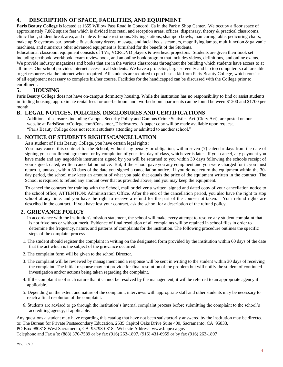#### **4. DESCRIPTION OF SPACE, FACILITIES, AND EQUIPMENT**

**Paris Beauty College** is located at 1655 Willow Pass Road in Concord, Ca in the Park n Shop Center. We occupy a floor space of approximately 7,882 square feet which is divided into retail and reception areas, offices, dispensary, theory & practical classrooms, clinic floor, student break area, and male  $\&$  female restrooms. Styling stations, shampoo bowls, manicuring table, pedicuring chairs, make up & eyebrow bar, portable & stationary dryers, massage and facial beds, steamers, magnifying lamps, multifunction & galvanic machines, and numerous other advanced equipment is furnished for the benefit of the Students.

Educational classroom equipment consists of TVs, VCR/DVD players & overhead projectors. Students are given their book set including textbook, workbook, exam review book, and an online book program that includes videos, definitions, and online exams. We provide industry magazines and books that are in the various classrooms throughout the building which students have access to at all times. Our school provides internet access to all students. We have a projector, large screen tv and lap top computer, so all are able to get resources via the internet when required. All students are required to purchase a kit from Paris Beauty College, which consists of all equipment necessary to complete his/her course. Facilities for the handicapped can be discussed with the College prior to enrollment.

#### **5. HOUSING**

Paris Beauty College does not have on-campus dormitory housing. While the institution has no responsibility to find or assist students in finding housing, approximate rental fees for one-bedroom and two-bedroom apartments can be found between \$1200 and \$1700 per month.

#### **B. LEGAL NOTICES, POLICIES, DISCLOSURES AND CERTIFICATIONS**

Additional disclosures including Campus Security Policy and Campus Crime Statistics Act (Clery Act), are posted on our website at ParisBeautyCollege.com/Consumer\_Disclosures. A paper copy will be made available upon request. "Paris Beauty College does not recruit students attending or admitted to another school."

#### **1. NOTICE OF STUDENTS RIGHTS/CANCELLATION**

As a student of Paris Beauty College, you have certain legal rights:

You may cancel this contract for the School, without any penalty or obligation, within seven (7) calendar days from the date of signing your enrollment agreement or by completion of your first day of class, whichever is later. If you cancel, any payment you have made and any negotiable instrument signed by you will be returned to you within 30 days following the schools receipt of your signed, dated, written cancellation notice. But, if the school gave you any equipment and you were charged for it, you must return it, unused, within 30 days of the date you signed a cancellation notice. If you do not return the equipment within the 30 day period, the school may keep an amount of what you paid that equals the price of the equipment written in the contract. The School is required to refund any amount over that as provided above, and you may keep the equipment.

To cancel the contract for training with the School, mail or deliver a written, signed and dated copy of your cancellation notice to the school office, ATTENTION: Administration Office. After the end of the cancellation period, you also have the right to stop school at any time, and you have the right to receive a refund for the part of the course not taken. Your refund rights are described in the contract. If you have lost your contract, ask the school for a description of the refund policy.

#### **2. GRIEVANCE POLICY**

In accordance with the institution's mission statement, the school will make every attempt to resolve any student complaint that is not frivolous or without merit. Evidence of final resolution of all complaints will be retained in school files in order to determine the frequency, nature, and patterns of complaints for the institution. The following procedure outlines the specific steps of the complaint process.

- 1. The student should register the complaint in writing on the designated form provided by the institution within 60 days of the date that the act which is the subject of the grievance occurred.
- 2. The complaint form will be given to the school Director.
- 3. The complaint will be reviewed by management and a response will be sent in writing to the student within 30 days of receiving the complaint. The initial response may not provide for final resolution of the problem but will notify the student of continued investigation and/or actions being taken regarding the complaint.
- 4. If the complaint is of such nature that it cannot be resolved by the management, it will be referred to an appropriate agency if applicable.
- 5. Depending on the extent and nature of the complaint, interviews with appropriate staff and other students may be necessary to reach a final resolution of the complaint.
- 6. Students are advised to go through the institution's internal complaint process before submitting the complaint to the school's accrediting agency, if applicable.

Any questions a student may have regarding this catalog that have not been satisfactorily answered by the institution may be directed to: The Bureau for Private Postsecondary Education, 2535 Capitol Oaks Drive Suite 400, Sacramento, CA 95833, PO Box 980818 West Sacramento, CA 95798-0818. Web site Address: www.bppe.ca.gov Telephone and Fax #'s: (888) 370-7589 or by fax (916) 263-1897, (916) 431-6959 or by fax (916) 263-1897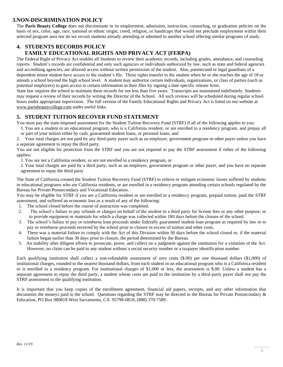#### **3.NON-DISCRIMINATION POLICY**

The **Paris Beauty College** does not discriminate in its employment, admission, instruction, counseling, or graduation policies on the basis of sex, color, age, race, national or ethnic origin, creed, religion, or handicaps that would not preclude employment within their selected program area nor do we recruit students already attending or admitted to another school offering similar programs of study.

#### **4. STUDENTS RECORDS POLICY FAMILY EDUCATIONAL RIGHTS AND PRIVACY ACT (FERPA)**

The Federal Right of Privacy Act enables all Students to review their academic records, including grades, attendance, and counseling reports. Student's records are confidential and only such agencies or individuals authorized by law, such as state and federal agencies and accrediting agencies, are allowed access without written permission of the student. Also, parents/and or legal guardians of a dependent minor student have access to the student's file. These rights transfer to the student when he or she reaches the age of 18 or attends a school beyond the high school level. A student may authorize certain individuals, organizations, or class of parties (such as potential employers) to gain access to certain information in their files by signing a date specific release form.

State law requires the school to maintain these records for not less than five years. Transcripts are maintained indefinitely. Students may request a review of their records by writing the Director of the School. All such reviews will be scheduled during regular school hours under appropriate supervision. The full version of the Family Educational Rights and Privacy Act is listed on our website at [www.parisbeautycollege.com](http://www.parisbeautycollege.com/) under useful links.

#### **5. STUDENT TUITION RECOVER FUND STATEMENT**

You must pay the state-imposed assessment for the Student Tuition Recovery Fund (STRF) if all of the following applies to you:

1. You are a student in an educational program, who is a California resident, or are enrolled in a residency program, and prepay all or part of your tuition either by cash, guaranteed student loans, or personal loans, and

2. Your total charges are not paid by any third-party payer such as an employer, government program or other payer unless you have a separate agreement to repay the third party.

You are not eligible for protection from the STRF and you are not required to pay the STRF assessment if either of the following applies:

1. You are not a California resident, or are not enrolled in a residency program, or

2. Your total charges are paid by a third party, such as an employer, government program or other payer, and you have no separate agreement to repay the third party.

The State of California created the Student Tuition Recovery Fund (STRF) to relieve or mitigate economic losses suffered by students in educational programs who are California residents, or are enrolled in a residency program attending certain schools regulated by the Bureau for Private Postsecondary and Vocational Education.

You may be eligible for STRF if you are a California resident or are enrolled in a residency program, prepaid tuition, paid the STRF assessment, and suffered an economic loss as a result of any of the following:

- 1. The school closed before the course of instruction was completed.
- 2. The school's failure to pay refunds or charges on behalf of the student to a third party for license fees or any other purpose, or to provide equipment or materials for which a charge was collected within 180 days before the closure of the school.
- 3. The school's failure to pay or reimburse loan proceeds under federally guaranteed student loan program as required by law or to pay or reimburse proceeds received by the school prior to closure in excess of tuition and other costs.
- 4. There was a material failure to comply with the Act of this Division within 30 days before the school closed or, if the material failure began earlier than 30 days prior to closure, the period determined by the Bureau.
- 5. An inability after diligent efforts to prosecute, prove, and collect on a judgment against the institution for a violation of the Act. However, no claim can be paid to any student without a social security number or a taxpayer identification number.

Each qualifying institution shall collect a non-refundable assessment of zero cents (\$.00) per one thousand dollars (\$1,000) of institutional charges, rounded to the nearest thousand dollars, from each student in an educational program who is a California resident or is enrolled in a residency program. For institutional charges of \$1,000 or less, the assessment is \$.00. Unless a student has a separate agreement to repay the third party, a student whose costs are paid to the institution by a third-party payer shall not pay the STRF assessment to the qualifying institution.

It is important that you keep copies of the enrollment agreement, financial aid papers, receipts, and any other information that documents the moneys paid to the school. Questions regarding the STRF may be directed to the Bureau for Private Postsecondary & Education, PO Box 980818 West Sacramento, CA 95798-0818, (888) 370-7589.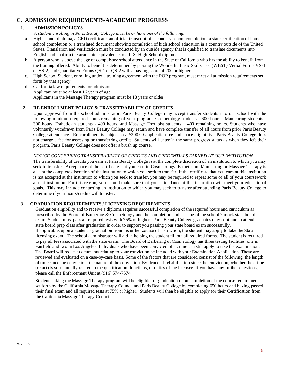#### **C. ADMISSION REQUIREMENTS/ACADEMIC PROGRESS**

#### **1. ADMISSION POLICYS**

 *A student enrolling in Paris Beauty College must be or have one of the following:*

- a. High school diploma, a GED certificate, an official transcript of secondary school completion, a state certification of homeschool completion or a translated document showing completion of high school education in a country outside of the United States. Translation and verification must be conducted by an outside agency that is qualified to translate documents into English and confirm the academic equivalence to a U.S. High School diploma.
- b. A person who is above the age of compulsory school attendance in the State of California who has the ability to benefit from the training offered. Ability to benefit is determined by passing the Wonderlic Basic Skills Test (WBST) Verbal Forms VS-1 or VS-2; and Quantitative Forms QS-1 or QS-2 with a passing score of 200 or higher.
- c. High School Student, enrolling under a training agreement with the ROP program, must meet all admission requirements set forth by that agency.
- d. California law requirements for admission: Applicant must be at least 16 years of age. Applicants in the Massage Therapy program must be 18 years or older

#### **2. RE ENROLLMENT POLICY & TRANSFERABILITY OF CREDITS**

Upon approval from the school administrator, Paris Beauty College may accept transfer students into our school with the following minimum required hours remaining of your program. Cosmetology students - 600 hours. Manicuring students - 300 hours, Esthetician students - 400 hours, and Massage Therapist students – 400 remaining hours. Students who have voluntarily withdrawn from Paris Beauty College may return and have complete transfer of all hours from prior Paris Beauty College attendance. Re enrollment is subject to a \$200.00 application fee and space eligibility. Paris Beauty College does not charge a fee for assessing or transferring credits. Students will enter in the same progress status as when they left their program. Paris Beauty College does not offer a brush up course.

#### *NOTICE CONCERNING TRANSFERABILITY OF CREDITS AND CREDENTIALS EARNED AT OUR INSTITUTION*

The transferability of credits you earn at Paris Beauty College is at the complete discretion of an institution to which you may seek to transfer. Acceptance of the certificate that you earn in Cosmetology, Esthetician, Manicuring or Massage Therapy is also at the complete discretion of the institution to which you seek to transfer. If the certificate that you earn at this institution is not accepted at the institution to which you seek to transfer, you may be required to repeat some of all of your coursework at that institution. For this reason, you should make sure that your attendance at this institution will meet your educational goals. This may include contacting an institution to which you may seek to transfer after attending Paris Beauty College to determine if your hours/credits will transfer.

#### **3 GRADUATION REQUIREMENTS / LICENSING REQUIREMENTS**

Graduation eligibility and to receive a diploma requires successful completion of the required hours and curriculum as prescribed by the Board of Barbering & Cosmetology and the completion and passing of the school's mock state board exam. Student must pass all required tests with 75% or higher. Paris Beauty College graduates may continue to attend a state board prep class after graduation in order to support you passing your state board exam successfully. If applicable, upon a student's graduation from his or her course of instruction, the student may apply to take the State licensing exam. The school administrator will aid in helping the student fill out all required forms. The student is required to pay all fees associated with the state exam. The Board of Barbering & Cosmetology has three testing facilities; one in Fairfield and two in Los Angeles. Individuals who have been convicted of a crime can still apply to take the examination. The Board will request documents relating to your conviction be included with you[r Examination Application.](http://www.barbercosmo.ca.gov/forms_pubs/index.shtml#exam) These are reviewed and evaluated on a case-by-case basis. Some of the factors that are considered consist of the following: the length of time since the conviction, the nature of the conviction, Evidence of rehabilitation since the conviction, whether the crime (or act) is substantially related to the qualification, functions, or duties of the licensee. If you have any further questions, please call the Enforcement Unit at (916) 574-7574.

Students taking the Massage Therapy program will be eligible for graduation upon completion of the course requirements set forth by the California Massage Therapy Council and Paris Beauty College by completing 650 hours and having passed their final exam and all required tests at 75% or higher. Students will then be eligible to apply for their Certification from the California Massage Therapy Council.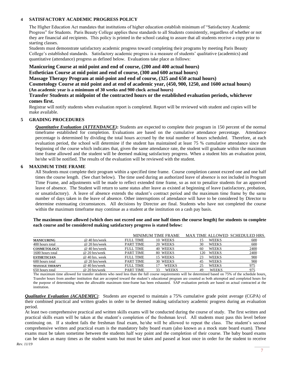#### **4 SATISFACTORY ACADEMIC PROGRESS POLICY**

The Higher Education Act mandates that institutions of higher education establish minimum of "Satisfactory Academic Progress" for Students. Paris Beauty College applies these standards to all Students consistently, regardless of whether or not they are financial aid recipients. This policy is printed in the school catalog to assure that all students receive a copy prior to starting classes.

Students must demonstrate satisfactory academic progress toward completing their programs by meeting Paris Beauty College's established standards. Satisfactory academic progress is a measure of students' qualitative (academics) and quantitative (attendance) progress as defined below. Evaluations take place as follows:

#### **Manicuring Course at mid point and end of course, (200 and 400 actual hours)**

**Esthetician Course at mid point and end of course, (300 and 600 actual hours)**

**Massage Therapy Program at mid-point and end of course, (325 and 650 actual hours)**

**Cosmetology Course at mid point and at end of academic year, (450, 900, 1250, and 1600 actual hours) (An academic year is a minimum of 30 weeks and 900 clock actual hours)**

#### **Transfer Students at midpoint of the contracted hours or the established evaluation periods, whichever comes first.**

Registrar will notify students when evaluation report is completed. Report will be reviewed with student and copies will be make available.

#### **5 GRADING PROCEDURES**

*Quantitative Evaluation (ATTENDANCE)***:** Students are expected to complete their program in 150 percent of the normal timeframe established for completion. Evaluations are based on the cumulative attendance percentage. Attendance percentage is determined by dividing the total hours accrued by the total number of hours scheduled. Therefore, at each evaluation period, the school will determine if the student has maintained at least 75 % cumulative attendance since the beginning of the course which indicates that, given the same attendance rate, the student will graduate within the maximum time frame allowed and the student will be deemed making satisfactory progress. When a student hits an evaluation point, he/she will be notified. The results of the evaluation will be reviewed with the student.

#### **6 MAXIMUM TIME FRAME**

All Students must complete their program within a specified time frame. Course completion cannot exceed one and one half times the course length. (See chart below). The time used during an authorized leave of absence is not included in Program Time Frame, and adjustments will be made to reflect extended time frame, so as not to penalize students for an approved leave of absence. The Student will return to same status after leave as existed at beginning of leave (satisfactory, probation, or unsatisfactory). A leave of absence extends the student's contract period and the maximum time frame by the same number of days taken in the leave of absence. Other interruptions of attendance will have to be considered by Director to determine extenuating circumstances. All decisions by Director are final. Students who have not completed the course within the maximum timeframe may continue as a student at the institution on a cash pay basis.

**The maximum time allowed (which does not exceed one and one half times the course length) for students to complete each course and be considered making satisfactory progress is stated below:**

|                        |                 |                  | MINIMUM TIME FRAME |     |              | MAX TIME ALLOWED SCHEDULED HRS. |
|------------------------|-----------------|------------------|--------------------|-----|--------------|---------------------------------|
| <b>MANICURING</b>      | @ 40 hrs/week   | <b>FULL TIME</b> | 10 WEEKS           | 15  | <b>WEEKS</b> | 600                             |
| 400 hours total        | @ 20 hrs/week   | PART TIME        | 20 WEEKS           | 30  | <b>WEEKS</b> | 600                             |
| <b>COSMETOLOGY</b>     | @ 40 hrs/week   | FULL TIME        | 40 WEEKS           | 60  | <b>WEEKS</b> | 2400                            |
| 1600 hours total       | @ 20 hrs/week   | PART TIME        | 80 WEEKS           | 120 | <b>WEEKS</b> | 2400                            |
| <b>ESTHETICIAN</b>     | @ 40 hrs. week  | <b>FULL TIME</b> | 15 WEEKS           | 23  | <b>WEEKS</b> | 900                             |
| 600 hours total        | @ 20 hrs/week   | <b>PART TIME</b> | 30 WEEKS           | 45  | <b>WEEKS</b> | 900                             |
| <b>MASSAGE THERAPY</b> | $@$ 40 hrs/week | FULL TIME        | <b>WEEKS</b>       | 25  | <b>WEEKS</b> | 975                             |
| 650 hours total        | @ 20 hrs/week   | <b>PART TIME</b> | <b>WEEKS</b><br>33 | 49  | <b>WEEKS</b> | 975                             |

The maximum time allowed for transfer students who need less than the full course requirements will be determined based on 75% of the schedule hours. Transfer hours from another institution that are accepted toward the student's educational program are counted as both attempted and completed hours for the purpose of determining when the allowable maximum time-frame has been exhausted. SAP evaluation periods are based on actual contracted at the institution.

*Qualitative Evaluation (ACADEMIC)*: Students are expected to maintain a 75% cumulative grade point average (CGPA) of their combined practical and written grades in order to be deemed making satisfactory academic progress during an evaluation period.

At least two comprehensive practical and written skills exams will be conducted during the course of study. The first written and practical skills exam will be taken at the student's completion of the freshman level. All students must pass this level before continuing on. If a student fails the freshman final exam, he/she will be allowed to repeat the class. The student's second comprehensive written and practical exam is the mandatory baby board exam (also known as a mock state board exam). These exams must be taken sometime between the students half way point and the completion of their course. The baby board exams can be taken as many times as the student wants but must be taken and passed at least once in order for the student to receive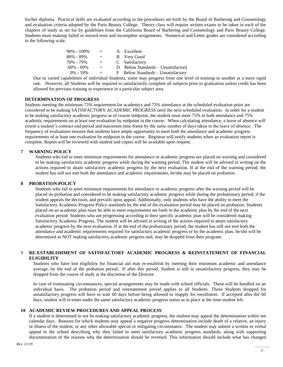his/her diploma. Practical skills are evaluated according to the procedures set forth by the Board of Barbering and Cosmetology and evaluation criteria adopted by the Paris Beauty College. Theory class will require written exams to be taken in each of the chapters of study as set for by guidelines from the California Board of Barbering and Cosmetology and Paris Beauty College. Students must makeup failed or missed tests and incomplete assignments. Numerical and Letter grades are considered according to the following scale.

| $90\% - 100\%$ | $=$ $-$ | A Excellent                        |
|----------------|---------|------------------------------------|
| $80\% - 89\%$  | $=$     | B Very Good                        |
| 70% - 79%      | $=$     | C Satisfactory                     |
| $60\% - 69\%$  | $=$     | D Below Standards – Unsatisfactory |
| $0\% - 59\%$   | $=$     | F Below Standards – Unsatisfactory |
|                |         |                                    |

Due to varied capabilities of individual Students, some may progress from one level of training to another at a more rapid rate. However, all Students will be required to satisfactorily complete all subjects prior to graduation unless credit has been allowed for previous training or experience in a particular subject area.

#### **DETERMINATION OF PROGRESS**

Students meeting the minimum 75% requirement for academics and 75% attendance at the scheduled evaluation point are considered to be making SATISFACTORY ACADEMIC PROGRESS until the next scheduled evaluation. In order for a student to be making satisfactory academic progress as of course midpoint, the student must meet 75% in both attendance and 75% academic requirements on at least one evaluation by midpoint in the course. When calculating attendance, a leave of absence will extent a student's contract end period and maximum time frame by the same number of days taken in the leave of absence. The frequency of evaluations ensures that students have ample opportunity to meet both the attendance and academic progress requirements of at least one evaluation by midpoint in the course. Registrar will notify students when an evaluation report is complete. Report will be reviewed with student and copies will be available upon request.

#### **7 WARNING POLICY**

Students who fail to meet minimum requirements for attendance or academic progress are placed on warning and considered to be making satisfactory academic progress while during the warning period. The student will be advised in writing on the actions required to attain satisfactory academic progress by the next evaluation. If at the end of the warning period, the student has still not met both the attendance and academic requirements, he/she may be placed on probation.

#### **8 PROBATION POLICY**

Students who fail to meet minimum requirements for attendance or academic progress after the warning period will be placed on probation and considered to be making satisfactory academic progress while during the probationary period, if the student appeals the decision, and prevails upon appeal. Additionally, only students who have the ability to meet the Satisfactory Academic Progress Policy standards by the end of the evaluation period may be placed on probation. Students placed on an academic plan must be able to meet requirements set forth in the academic plan by the end of the next evaluation period. Students who are progressing according to their specific academic plan will be considered making Satisfactory Academic Progress. The student will be advised in writing of the actions required to attain satisfactory academic progress by the next evaluation. If at the end of the probationary period, the student has still not met both the attendance and academic requirements required for satisfactory academic progress or by the academic plan, he/she will be determined as NOT making satisfactory academic progress and, may be dropped from their program.

#### 9 **RE-ESTABLISHMENT OF SATISFACTORY ACADEMIC PROGRESS & REINSTATEMENT OF FINANCIAL ELIGIBILITY**

Students who have lost eligibility for financial aid may re-establish by meeting their minimum academic and attendance average, by the end of the probation period. If after this period, Student is still in unsatisfactory progress, they may be dropped from the course of study at the discretion of the Director.

In case of extenuating circumstances, special arrangements may be made with school officials. These will be handled on an individual basis. The probation period and reinstatement period applies to all Students. Those Students dropped for unsatisfactory progress will have to wait 60 days before being allowed to reapply for enrollment. If accepted after the 60 days, student will re-enter under the same satisfactory academic progress status as in place at the time student left.

#### **10 ACADEMIC REVIEW PROCEDURES AND APPEAL PROCESS**

If a student is determined to not be making satisfactory academic progress, the student may appeal the determination within ten calendar days. Reasons for which students may appeal a negative progress determination include death of a relative, an injury or illness of the student, or any other allowable special or mitigating circumstance. The student may submit a written or verbal appeal to the school describing why they failed to meet satisfactory academic progress standards, along with supporting documentation of the reasons why the determination should be reversed. This information should include what has changed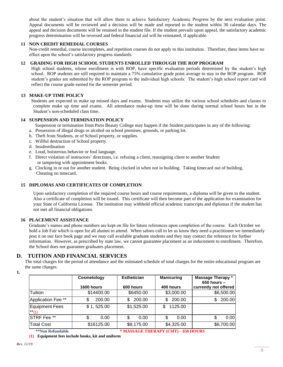about the student's situation that will allow them to achieve Satisfactory Academic Progress by the next evaluation point. Appeal documents will be reviewed and a decision will be made and reported to the student within 30 calendar days. The appeal and decision documents will be retained in the student file. If the student prevails upon appeal, the satisfactory academic progress determination will be reversed and federal financial aid will be reinstated, if applicable.

#### **11 NON CREDIT REMEDIAL COURSES**

Non-credit remedial, course incompletes, and repetition courses do not apply to this institution. Therefore, these items have no effect upon the school's satisfactory progress standards.

#### **12 GRADING FOR HIGH SCHOOL STUDENTS ENROLLED THROUGH THE ROP PROGRAM**

High school students, whose enrollment is with ROP, have specific evaluation periods determined by the student's high school. ROP students are still required to maintain a 75% cumulative grade point average to stay in the ROP program. ROP student's grades are submitted by the ROP program to the individual high schools. The student's high school report card will reflect the course grade earned for the semester period.

#### **13 MAKE-UP TIME POLICY**

Students are expected to make up missed days and exams. Students may utilize the various school schedules and classes to complete make up time and exams. All attendance make-up time will be done during normal school hours but in the Student's non-scheduled class time.

#### **14 SUSPENSION AND TERMINATION POLICY**

Suspension or termination from Paris Beauty College may happen if the Student participates in any of the following:

- a. Possession of illegal drugs or alcohol on school premises, grounds, or parking lot.
- b. Theft from Students, or of School property, or supplies.
- c. Willful destruction of School property.
- d. Insubordination
- e. Loud, boisterous behavior or foul language.
- f. Direct violation of instructors' directions, i.e. refusing a client, reassigning client to another Student or tampering with appointment books.
- g. Clocking in or out for another student. Being clocked in when not in building. Taking timecard out of building. Cheating on timecard.

#### **15 DIPLOMAS AND CERTIFICATES OF COMPLETION**

Upon satisfactory completion of the required course hours and course requirements, a diploma will be given to the student. Also a certificate of completion will be issued. This certificate will then become part of the application for examination for your State of California License. The institution may withhold official academic transcripts and diplomas if the student has not met all financial obligations.

#### **16 PLACEMENT ASSISTANCE**

Graduate's names and phone numbers are kept on file for future references upon completion of the course. Each October we hold a Job Fair which is open for all alumni to attend. When salons call to let us know they need a practitioner we immediately post it on our face book page and we may call available graduate students and they may contact the reference for further information. However, as prescribed by state law, we cannot guarantee placement as an inducement to enrollment. Therefore, the School does not guarantee graduates placement.

#### **D. TUITION AND FINANCIAL SERVICES**

The total charges for the period of attendance and the estimated schedule of total charges for the entire educational program are the same charges.

**1.**

|                                  | Cosmetology<br>1600 hours | <b>Esthetician</b><br>600 hours | <b>Manicuring</b><br>400 hours      | Massage Therapy *<br>$650$ hours $-$<br>currently not offered |
|----------------------------------|---------------------------|---------------------------------|-------------------------------------|---------------------------------------------------------------|
| Tuition                          | \$14400.00                | \$6450.00                       | \$3,000.00                          | \$6,500.00                                                    |
| Application Fee **               | 200.00<br>S               | 200.00<br>S.                    | 200.00<br>\$.                       | 200.00<br>\$                                                  |
| <b>Equipment Fees</b><br>$**(1)$ | \$1, 525.00               | \$1,525.00                      | 1125.00<br>\$                       |                                                               |
| STRF Fee <sup>**</sup>           | \$<br>0.00                | \$<br>0.00                      | \$<br>0.00                          | 0.00<br>S                                                     |
| <b>Total Cost</b>                | \$16125.00                | \$8,175.00                      | \$4,325.00                          | \$6,700.00                                                    |
| **Non Refundable                 |                           |                                 | * MASSAGE THERAPY (CMT) – 650 HOURS |                                                               |

**(1) Equipment fees include books, kit and uniform**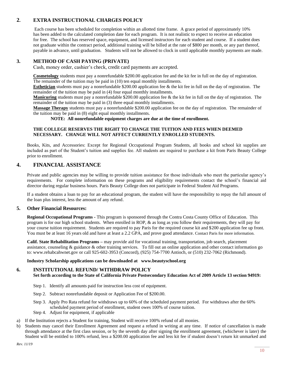#### **2. EXTRA INSTRUCTIONAL CHARGES POLICY**

Each course has been scheduled for completion within an allotted time frame. A grace period of approximately 10% has been added to the calculated completion date for each program. It is not realistic to expect to receive an education for free. The school has reserved space, equipment, and licensed instructors for each student and course. If a student does not graduate within the contract period, additional training will be billed at the rate of \$800 per month, or any part thereof, payable in advance, until graduation. Students will not be allowed to clock in until applicable monthly payments are made.

#### **3. METHOD OF CASH PAYING (PRIVATE)**

Cash, money order, cashier's check, credit card payments are accepted.

**Cosmetology** students must pay a nonrefundable \$200.00 application fee and the kit fee in full on the day of registration. The remainder of the tuition may be paid in (10) ten equal monthly installments.

**Esthetician** students must pay a nonrefundable \$200.00 application fee & the kit fee in full on the day of registration. The remainder of the tuition may be paid in (4) four equal monthly installments.

**Manicuring** students must pay a nonrefundable \$200.00 application fee & the kit fee in full on the day of registration. The remainder of the tuition may be paid in (3) three equal monthly installments.

**Massage Therapy** students must pay a nonrefundable \$200.00 application fee on the day of registration. The remainder of the tuition may be paid in (8) eight equal monthly installments.

 **NOTE: All nonrefundable equipment charges are due at the time of enrollment.**

#### **THE COLLEGE RESERVES THE RIGHT TO CHANGE THE TUITION AND FEES WHEN DEEMED NECESSARY. CHANGE WILL NOT AFFECT CURRENTLY ENROLLED STUDENTS.**

Books, Kits, and Accessories: Except for Regional Occupational Program Students, all books and school kit supplies are included as part of the Student's tuition and supplies fee. All students are required to purchase a kit from Paris Beauty College prior to enrollment.

#### **4. FINANCIAL ASSISTANCE**

Private and public agencies may be willing to provide tuition assistance for those individuals who meet the particular agency's requirements. For complete information on these programs and eligibility requirements contact the school's financial aid director during regular business hours. Paris Beauty College does not participate in Federal Student Aid Programs.

If a student obtains a loan to pay for an educational program, the student will have the responsibility to repay the full amount of the loan plus interest, less the amount of any refund.

#### **5. Other Financial Resources:**

**Regional Occupational Programs -** This program is sponsored through the Contra Costa County Office of Education. This program is for our high school students. When enrolled in ROP, & as long as you follow their requirements, they will pay for your course tuition requirement. Students are required to pay Paris for the required course kit and \$200 application fee up front. You must be at least 16 years old and have at least a 2.2 GPA, and prove good attendance. Contact Paris for more information.

**Calif. State Rehabilitation Programs –** may provide aid for vocational training, transportation, job search, placement assistance, counseling & guidance & other training services. To fill out an online application and other contact information go to[: www.rehabcahwnet.gov](http://www.rehabcahwnet.gov/) or call 925-602-3953 (Concord), (925) 754-7700 Antioch, or (510) 232-7062 (Richmond).

#### **Industry Scholarship applications can be downloaded at www.beautyschool.org**

#### **6. INSTITUTIONAL REFUND/ WITHDRAW POLICY**

**Set forth according to the State of California Private Postsecondary Education Act of 2009 Article 13 section 94919:**

- Step 1. Identify all amounts paid for instruction less cost of equipment.
- Step 2. Subtract nonrefundable deposit or Application Fee of \$200.00.
- Step 3. Apply Pro Rata refund for withdraws up to 60% of the scheduled payment period. For withdraws after the 60% scheduled payment period of enrollment, student owes 100% of course tuition.
- Step 4. Adjust for equipment, if applicable
- a) If the Institution rejects a Student for training, Student will receive 100% refund of all monies.
- b) Students may cancel their Enrollment Agreement and request a refund in writing at any time. If notice of cancellation is made through attendance at the first class session, or by the seventh day after signing the enrollment agreement, (whichever is later) the Student will be entitled to 100% refund, less a \$200.00 application fee and less kit fee if student doesn't return kit unmarked and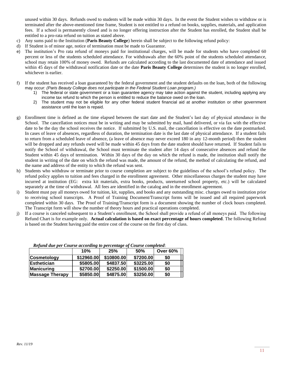unused within 30 days. Refunds owed to students will be made within 30 days. In the event the Student wishes to withdraw or is terminated after the above-mentioned time frame, Student is not entitled to a refund on books, supplies, materials, and application fees. If a school is permanently closed and is no longer offering instruction after the Student has enrolled, the Student shall be entitled to a pro-rata refund on tuition as stated above.

- c) Any sums paid to the Institution (**Paris Beauty College**) herein shall be subject to the following refund policy:
- d) If Student is of minor age, notice of termination must be made to Guarantor.
- e) The institution's Pro rata refund of moneys paid for institutional charges, will be made for students who have completed 60 percent or less of the students scheduled attendance. For withdrawals after the 60% point of the students scheduled attendance, school may retain 100% of money owed. Refunds are calculated according to the last documented date of attendance and issued within 45 days of the withdrawal notification date or the date **Paris Beauty College** determines the student is no longer enrolled, whichever is earlier.
- f) If the student has received a loan guaranteed by the federal government and the student defaults on the loan, both of the following may occur: *(Paris Beauty College does not participate in the Federal Student Loan program.)*
	- 1) The federal or state government or a loan guarantee agency may take action against the student, including applying any income tax refund to which the person is entitled to reduce the balance owed on the loan.
	- 2) The student may not be eligible for any other federal student financial aid at another institution or other government assistance until the loan is repaid.
- g) Enrollment time is defined as the time elapsed between the start date and the Student's last day of physical attendance in the School. The cancellation notices must be in writing and may be submitted by mail, hand delivered, or via fax with the effective date to be the day the school receives the notice. If submitted by U.S. mail, the cancellation is effective on the date postmarked. In cases of leave of absences, regardless of duration, the termination date is the last date of physical attendance. If a student fails to return from a scheduled leave of absence, (a leave of absence may never exceed 180 in any 12-month period) then the student will be dropped and any refunds owed will be made within 45 days from the date student should have returned. If Student fails to notify the School of withdrawal, the School must terminate the student after 14 days of consecutive absences and refund the Student within 45 days of termination. Within 30 days of the day on which the refund is made, the institution shall notify the student in writing of the date on which the refund was made, the amount of the refund, the method of calculating the refund, and the name and address of the entity to which the refund was sent.
- h) Students who withdraw or terminate prior to course completion are subject to the guidelines of the school's refund policy. The refund policy applies to tuition and fees charged in the enrollment agreement. Other miscellaneous charges the student may have incurred at institution (EG: extra kit materials, extra books, products, unreturned school property, etc.) will be calculated separately at the time of withdrawal. All fees are identified in the catalog and in the enrollment agreement.
- i) Student must pay all moneys owed for tuition, kit, supplies, and books and any outstanding misc. charges owed to institution prior to receiving school transcripts. A Proof of Training Document/Transcript forms will be issued and all required paperwork completed within 30 days. The Proof of Training/Transcript form is a document showing the number of clock hours completed. The Transcript form will show the number of theory hours and practical operations completed.
- j) If a course is canceled subsequent to a Student's enrollment, the School shall provide a refund of all moneys paid. The following Refund Chart is for example only. **Actual calculation is based on exact percentage of hours completed**. The following Refund is based on the Student having paid the entire cost of the course on the first day of class.

|                        | 10%        | 25%        | 50%       | <b>Over 60%</b> |
|------------------------|------------|------------|-----------|-----------------|
| Cosmetology            | \$12960.00 | \$10800.00 | \$7200.00 | \$0             |
| <b>Esthetician</b>     | \$5805.00  | \$4837.50  | \$3225.00 | \$0             |
| <b>Manicuring</b>      | \$2700.00  | \$2250.00  | \$1500.00 | \$0             |
| <b>Massage Therapy</b> | \$5850.00  | \$4875.00  | \$3250.00 | \$0             |

|  |  | Refund due per Course according to percentage of Course completed: |
|--|--|--------------------------------------------------------------------|
|  |  |                                                                    |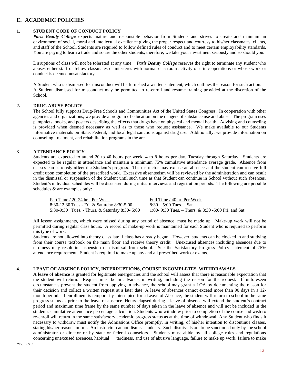#### **E. ACADEMIC POLICIES**

#### **1. STUDENT CODE OF CONDUCT POLICY**

*Paris Beauty College* expects mature and responsible behavior from Students and strives to create and maintain an environment of social, moral and intellectual excellence giving the proper respect and courtesy to his/her classmates, clients, and staff of the School. Students are required to follow defined rules of conduct and to meet certain employability standards. You are paying to learn a trade and so are the other students, therefore, we take your investment seriously and so should you.

Disruptions of class will not be tolerated at any time. *Paris Beauty College* reserves the right to terminate any student who abuses either staff or fellow classmates or interferes with normal classroom activity or clinic operations or whose work or conduct is deemed unsatisfactory.

A Student who is dismissed for misconduct will be furnished a written statement, which outlines the reason for such action. A Student dismissed for misconduct may be permitted to re-enroll and resume training provided at the discretion of the School.

#### **2. DRUG ABUSE POLICY**

The School fully supports Drug-Free Schools and Communities Act of the United States Congress. In cooperation with other agencies and organizations, we provide a program of education on the dangers of substance use and abuse. The program uses pamphlets, books, and posters describing the effects that drugs have on physical and mental health. Advising and counseling is provided when deemed necessary as well as to those who request assistance. We make available to our Students informative materials on State, Federal, and local legal sanctions against drug use. Additionally, we provide information on counseling, treatment, and rehabilitation programs in the area.

#### 3. **ATTENDANCE POLICY**

Students are expected to attend 20 to 40 hours per week, 4 to 8 hours per day, Tuesday through Saturday. Students are expected to be regular in attendance and maintain a minimum 75% cumulative attendance average grade. Absence from classes can seriously affect the Student's progress. The instructor may excuse an absence and the student can receive full credit upon completion of the prescribed work. Excessive absenteeism will be reviewed by the administration and can result in the dismissal or suspension of the Student until such time as that Student can continue in School without such absences. Student's individual schedules will be discussed during initial interviews and registration periods. The following are possible schedules & are examples only:

Part Time / 20-24 hrs. Per Week Full Time / 40 hr. Per Week 5:30-9:30 Tues. - Thurs. & Saturday 8:30- 5:00

8:30-12:30 Tues.- Fri. & Saturday 8:30-5:00  $8:30 - 5:00$  Tues. – Sat.<br>5:30-9:30 Tues. - Thurs. & Saturday 8:30-5:00  $1:00 - 9:30$  Tues. – Thurs. & 8:30-5:00 Fri. and Sat.

 All lesson assignments, which were missed during any period of absence, must be made up. Make-up work will not be permitted during regular class hours. A record of make-up work is maintained for each Student who is required to perform this type of work.

 Students are not allowed into theory class late if class has already begun. However, students can be clocked in and studying from their course textbook on the main floor and receive theory credit. Unexcused absences including absences due to tardiness may result in suspension or dismissal from school. See the Satisfactory Progress Policy statement of 75% attendance requirement. Student is required to make up any and all prescribed work or exams.

#### 4. **LEAVE OF ABSENCE POLICY, INTERRUPTIONS, COURSE INCOMPLETES, WITHDRAWALS**

**A leave of absence** is granted for legitimate emergencies and the school will assess that there is reasonable expectation that the student will return. Request must be in advance, in writing, including the reason for the request. If unforeseen circumstances prevent the student from applying in advance, the school may grant a LOA by documenting the reason for their decision and collect a written request at a later date. A leave of absences cannot exceed more than 90 days in a 12 month period. If enrollment is temporarily interrupted for a Leave of Absence, the student will return to school in the same progress status as prior to the leave of absence. Hours elapsed during a leave of absence will extend the student's contract period and maximum time frame by the same number of days taken in the leave of absence and will not be included in the student's cumulative attendance percentage calculation. Students who withdraw prior to completion of the course and wish to re-enroll will return in the same satisfactory academic progress status as at the time of withdrawal. Any Student who finds it necessary to withdraw must notify the Admissions Office promptly, in writing, of his/her intention to discontinue classes, stating his/her reasons in full. An instructor cannot dismiss students. Such dismissals are to be sanctioned only by the school administrator or director or by state or federal counselors. Students must abide by all college rules and regulations concerning unexcused absences, habitual tardiness, and use of abusive language, failure to make up work, failure to make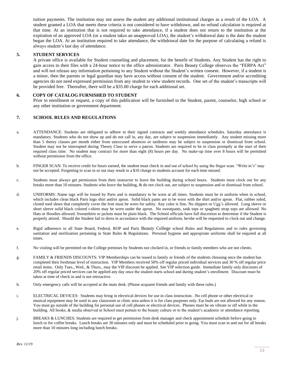tuition payments. The institution may not assess the student any additional institutional charges as a result of the LOA. A student granted a LOA that meets these criteria is not considered to have withdrawn, and no refund calculation is required at that time. At an institution that is not required to take attendance, if a student does not return to the institution at the expiration of an approved LOA (or a student takes an unapproved LOA), the student's withdrawal date is the date the student began the LOA. At an institution required to take attendance, the withdrawal date for the purpose of calculating a refund is always student's last day of attendance.

#### **5. STUDENT SERVICES**

A private office is available for Student counseling and placement, for the benefit of Students. Any Student has the right to gain access to their files with a 24-hour notice to the office administrator. Paris Beauty College observes the "FERPA Act" and will not release any information pertaining to any Student without the Student's written consent. However, if a student is a minor, then the parents or legal guardian may have access without consent of the student. Government and/or accrediting agencies do not need expressed permission from any student to view student records. One set of the student's transcripts will be provided free. Thereafter, there will be a \$35.00 charge for each additional set.

#### **6. COPY OF CATALOG FURNISHED TO STUDENT**

Prior to enrollment or request, a copy of this publication will be furnished to the Student, parent, counselor, high school or any other institution or government department.

#### **7. SCHOOL RULES AND REGULATIONS**

- a. ATTENDANCE: Students are obligated to adhere to their signed contracts and weekly attendance schedules. Saturday attendance is mandatory. Students who do not show up and do not call in, any day, are subject to suspension immediately. Any student missing more than 5 theory classes per month either from unexcused absences or tardiness may be subject to suspension or dismissal from school. Student may not be interrupted during Theory Class to serve a patron. Students are required to be in class promptly at the start of their required class time. No student may contract for more than eight (8) hours per day. No make-up time over 8 hours will be permitted without permission from the office.
- b. FINGER SCAN: To receive credit for hours earned, the student must check in and out of school by using the finger scan. "Write in's" may not be accepted. Forgetting to scan in or out may result in a \$10 charge to students account for each time missed.
- c. Students must always get permission from their instructor to leave the building during school hours. Students must clock out for any breaks more than 10 minutes. Students who leave the building, & do not clock out, are subject to suspension and or dismissal from school.
- d. UNIFORMS: Name tags will be issued by Paris and is mandatory to be worn at all times. Students must be in uniform when in school, which includes clean black Paris logo shirt and/or apron. Solid black pants are to be worn with the shirt and/or apron. Flat, rubber soled, closed toed shoes that completely cover the foot must be worn for safety. Any color is fine. No slippers or Ugg's allowed. Long sleeve or short sleeve solid black colored t-shirts may be worn under the apron. No sweatpants, tank tops or spaghetti strap tops are allowed. No Hats or Hoodies allowed. Sweatshirts or jackets must be plain black. The School officials have full discretion to determine if the Student is properly attired. Should the Student fail to dress in accordance with the required uniform, he/she will be requested to clock out and change.
- e. Rigid adherence to all State Board, Federal, ROP and Paris Beauty College school Rules and Regulations and to rules governing sanitation and sterilization pertaining to State Rules & Regulations. Personal hygiene and appropriate uniforms shall be required at all times.
- f. No visiting will be permitted on the College premises by Students not clocked in, or friends or family members who are not clients.
- g. FAMILY & FRIENDS DISCOUNTS: VIP Memberships can be issued to family or friends of the students choosing once the student has completed their freshman level of instruction. VIP Members received 50% off regular priced individual services and 30 % off regular price retail items. Only Tues., Wed., & Thurs., may the VIP discount be applied. See VIP selection guide. Immediate family only discounts of 20% off regular priced services can be applied any day once the student starts school and during student's enrollment. Discount must be taken at time of check in and is not retroactive.
- h. Only emergency calls will be accepted at the main desk. (Please acquaint friends and family with these rules.)
- i. ELECTRICAL DEVICES: Students may bring in electrical devices for use in class instruction. .No cell phone or other electrical or musical equipment may be used in any classroom or clinic area unless it is for class purposes only. Ear buds are not allowed for any reason. You must go outside of the building for personal use of cell phones or electrical devices. Phones must be on vibrate or off while in the building. All books, & media observed in School must pertain to the beauty culture or to the student's academic or attendance reporting.
- j. BREAKS & LUNCHES: Students are required to get permission from desk manager and check appointment schedule before going to lunch or for coffee breaks. Lunch breaks are 30 minutes only and must be scheduled prior to going. You must scan in and out for all breaks more than 10 minutes long including lunch breaks.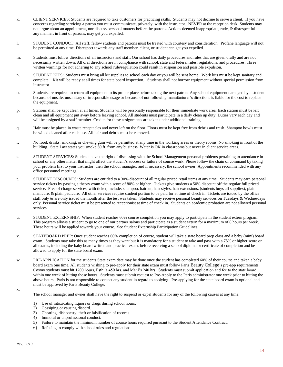- k. CLIENT SERVICES: Students are required to take customers for practicing skills. Students may not decline to serve a client. If you have concerns regarding servicing a patron you must communicate, privately, with the instructor. NEVER at the reception desk. Students may not argue about an appointment, nor discuss personal matters before the patrons. Actions deemed inappropriate, rude, & disrespectful in any manner, in front of patrons, may get you expelled.
- l. STUDENT CONDUCT: All staff, fellow students and patrons must be treated with courtesy and consideration. Profane language will not be permitted at any time. Disrespect towards any staff member, client, or student can get you expelled.
- m. Students must follow directions of all instructors and staff. Our school has daily procedures and rules that are given orally and are not necessarily written down. All oral directions are in compliance with school, state and federal rules, regulations, and procedures. Three written warnings for not adhering to any school rule/regulation could result in suspension and possible expulsion.
- n. STUDENT KITS: Students must bring all kit supplies to school each day or you will be sent home. Work kits must be kept sanitary and complete. Kit will be ready at all times for state board inspection. Students shall not borrow equipment without special permission from instructor.
- o. Students are required to return all equipment to its proper place before taking the next patron. Any school equipment damaged by a student because of unsafe, unsanitary or irresponsible usage or because of not following manufacturer's directions is liable for the cost to replace the equipment.
- p. Stations shall be kept clean at all times. Students will be personally responsible for their immediate work area. Each station must be left clean and all equipment put away before leaving school. All students must participate in a daily clean up duty. Duties vary each day and will be assigned by a staff member. Credits for these assignments are taken under additional training.
- q. Hair must be placed in waste receptacles and never left on the floor. Floors must be kept free from debris and trash. Shampoo bowls must be wiped cleaned after each use. All hair and debris must be removed.
- r. No food, drinks, smoking, or chewing gum will be permitted at any time in the working areas or theory rooms. No smoking in front of the building. State Law states you smoke 50 ft. from any business. Water is OK in classrooms but never in client service areas.
- s. STUDENT SERVICES: Students have the right of discussing with the School Management personal problems pertaining to attendance in school or any other matter that might affect the student's success or failure of course work. Please follow the chain of command by taking your problem first to your instructor, then the school manager, and if necessary, the school owner. Appointments recommended with any office personnel meetings.
- t. STUDENT DISCOUNTS: Students are entitled to a 30% discount of all regular priced retail items at any time. Students may earn personal service tickets by passing a theory exam with a score of 80% or higher. Tickets give students a 50% discount off the regular full priced service. Free of charge services, with ticket, include: shampoo, haircut, hair styles, hair extensions, (students buys all supplies), plain manicure, & plain pedicure. All other services require student portion to be paid for at time of check in. Tickets are issued by the office staff only & are only issued the month after the test was taken. Students may receive personal beauty services on Tuesdays & Wednesdays only. Personal service ticket must be presented to receptionist at time of check in. Students on academic probation are not allowed personal services.
- u. STUDENT EXTERNSHIP: When student reaches 60% course completion you may apply to participate in the student extern program. This program allows a student to go to one of our partner salons and participate as a student extern for a maximum of 8 hours per week. These hours will be applied towards your course. See Student Externship Participation Guidelines.
- v. STATEBOARD PREP: Once student reaches 60% completion of course, student will take a state board prep class and a baby (mini) board exam. Students may take this as many times as they want but it is mandatory for a student to take and pass with a 75% or higher score on all exams, including the baby board written and practical exam, before receiving a school diploma or certificate of completion and be allowed to apply for the state board exam.
- w. PRE-APPLICATION for the students State exam date may be done once the student has completed 60% of their course and taken a baby board exam one time. All students wishing to pre-apply for their state exam must follow Paris Beauty College's pre-app requirements. Cosmo students must hit 1200 hours, Esthi's 450 hrs. and Mani's 240 hrs. Students must submit application and fee to the state board within one week of hitting those hours. Students must submit request to Pre-Apply to the Paris administrator one week prior to hitting the above hours. Paris is not responsible to contact any student in regard to applying. Pre-applying for the state board exam is optional and must be approved by Paris Beauty College.

x.

The school manager and owner shall have the right to suspend or expel students for any of the following causes at any time:

- 1) Use of intoxicating liquors or drugs during school hours.
- 2) Gossiping or causing discord.
- 3) Cheating, dishonesty, theft or falsification of records.
- 4) Immoral or unprofessional conduct.
- 5) Failure to maintain the minimum number of course hours required pursuant to the Student Attendance Contract.
- 6) Refusing to comply with school rules and regulations.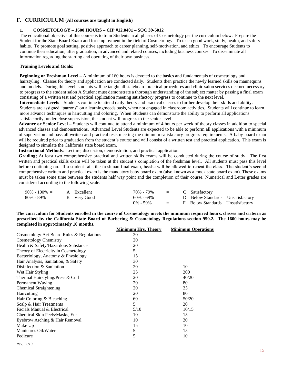#### **F. CURRICULUM (All courses are taught in English)**

#### **1. COSMETOLOGY – 1600 HOURS – CIP #12.0401 – SOC 39-5012**

The educational objective of this course is to train Students in all phases of Cosmetology per the curriculum below. Prepare the Student for the State Board Exam and for employment in the field of Cosmetology. To teach good work, study, health, and safety habits. To promote goal setting, positive approach to career planning, self-motivation, and ethics. To encourage Students to continue their education, after graduation, in advanced and related courses, including business courses. To disseminate all information regarding the starting and operating of their own business.

#### **Training Levels and Goals:**

**Beginning or Freshman Level –** A minimum of 160 hours is devoted to the basics and fundamentals of cosmetology and hairstyling. Classes for theory and application are conducted daily. Students then practice the newly learned skills on mannequins and models. During this level, students will be taught all stateboard practical procedures and clinic salon services deemed necessary to progress to the student salon A Student must demonstrate a thorough understanding of the subject matter by passing a final exam consisting of a written test and practical application meeting satisfactory progress to continue to the next level.

**Intermediate Levels –** Students continue to attend daily theory and practical classes to further develop their skills and ability. Students are assigned "patrons" on a learning/needs basis, when not engaged in classroom activities. Students will continue to learn more advance techniques in haircutting and coloring. When Students can demonstrate the ability to perform all applications satisfactorily, under close supervision, the student will progress to the senior level.

**Advance or Senior Level –** Students will continue to attend a minimum of 4 hours per week of theory classes in addition to special advanced classes and demonstrations. Advanced Level Students are expected to be able to perform all applications with a minimum of supervision and pass all written and practical tests meeting the minimum satisfactory progress requirements. A baby board exam will be required prior to graduation from the student's course and will consist of a written test and practical application. This exam is designed to simulate the California state board exam.

**Instructional Methods**: Lecture, discussion, demonstration, and practical application.

Grading; At least two comprehensive practical and written skills exams will be conducted during the course of study. The first written and practical skills exam will be taken at the student's completion of the freshman level. All students must pass this level before continuing on. If a student fails the freshman final exam, he/she will be allowed to repeat the class. The student's second comprehensive written and practical exam is the mandatory baby board exam (also known as a mock state board exam). These exams must be taken some time between the students half way point and the completion of their course. Numerical and Letter grades are considered according to the following scale.

| $90\% - 100\% =$            | A Excellent | $70\%$ - $79\%$ = C Satisfactory |  |                                        |
|-----------------------------|-------------|----------------------------------|--|----------------------------------------|
| $80\% - 89\% =$ B Very Good |             | 60% - 69%                        |  | $=$ D Below Standards – Unsatisfactory |
|                             |             | $0\% - 59\%$                     |  | $=$ F Below Standards – Unsatisfactory |

**The curriculum for Students enrolled in the course of Cosmetology meets the minimum required hours, classes and criteria as prescribed by the California State Board of Barbering & Cosmetology Regulations section 950.2. The 1600 hours may be completed in approximately 10 months.**

|                                           | <b>Minimum Hrs. Theory</b> | <b>Minimum Operations</b> |
|-------------------------------------------|----------------------------|---------------------------|
| Cosmetology Act Board Rules & Regulations | 20                         |                           |
| Cosmetology Chemistry                     | 20                         |                           |
| Health & Safety/Hazardous Substance       | 20                         |                           |
| Theory of Electricity in Cosmetology      | 5                          |                           |
| Bacteriology, Anatomy & Physiology        | 15                         |                           |
| Hair Analysis, Sanitation, & Safety       | 30                         |                           |
| Disinfection & Sanitation                 | 20                         | 10                        |
| Wet Hair Styling                          | 25                         | 200                       |
| Thermal Hairstyling/Press & Curl          | 20                         | 40/20                     |
| Permanent Waving                          | 20                         | 80                        |
| <b>Chemical Straightening</b>             | 20                         | 25                        |
| Haircutting                               | 20                         | 80                        |
| Hair Coloring & Bleaching                 | 60                         | 50/20                     |
| Scalp & Hair Treatments                   | 5                          | 20                        |
| Facials Manual & Electrical               | 5/10                       | 10/15                     |
| Chemical Skin Peels/Masks, Etc.           | 10                         | 15                        |
| Eyebrow Arching & Hair Removal            | 10                         | 20                        |
| Make Up                                   | 15                         | 10                        |
| Manicures Oil/Water                       | 5                          | 15                        |
| Pedicure                                  | 5                          | 10                        |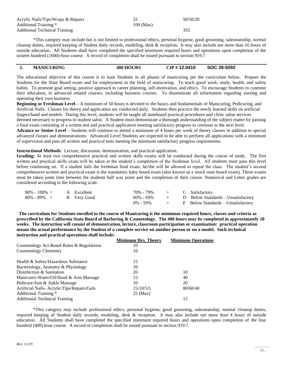| Acrylic Nails/Tips/Wraps & Repairs |           | 50/50/20 |
|------------------------------------|-----------|----------|
| Additional Training *              | 100 (Max) |          |
| Additional Technical Training      |           |          |

\*This category may include but is not limited to professional ethics, personal hygiene, good grooming, salesmanship, normal cleanup duties, required keeping of Student daily records, modeling, desk & reception. It may also include not more than 16 hours of outside education. All Students shall have completed the specified minimum required hours and operations upon completion of the sixteen hundred (1600)-hour course. A record of completion shall be issued pursuant to section 919.7

#### **2. MANICURING 400 HOURS CIP # 12.0410 SOC 39-5092**

of supervision and pass all written and practical tests meeting the minimum satisfactory progress requirements.

The educational objective of this course is to train Students in all phases of manicuring per the curriculum below. Prepare the Students for the State Board exam and for employment in the field of manicuring. To teach good work, study, health, and safety habits. To promote goal setting, positive approach to career planning, self-motivation, and ethics. To encourage Students to continue their education, in advanced related courses, including business courses. To disseminate all information regarding starting and operating their own business.

**Beginning or Freshman Level –** A minimum of 50 hours is devoted to the basics and fundamentals of Manicuring, Pedicuring, and Artificial Nails. Classes for theory and application are conducted daily. Students then practice the newly learned skills on artificial fingers/hand and models. During this level, students will be taught all stateboard practical procedures and clinic salon services deemed necessary to progress to student salon. A Student must demonstrate a thorough understanding of the subject matter by passing

a final exam consisting of a written test and practical application meeting satisfactory progress to continue to the next level. **Advance or Senior Level –** Students will continue to attend a minimum of 4 hours per week of theory classes in addition to special advanced classes and demonstrations. Advanced Level Students are expected to be able to perform all applications with a minimum

**Instructional Methods**: Lecture, discussion, demonstration, and practical application.

Grading; At least two comprehensive practical and written skills exams will be conducted during the course of study. The first written and practical skills exam will be taken at the student's completion of the freshman level. All students must pass this level before continuing on. If a student fails the freshman final exam, he/she will be allowed to repeat the class. The student's second comprehensive written and practical exam is the mandatory baby board exam (also known as a mock state board exam). These exams must be taken some time between the students half way point and the completion of their course. Numerical and Letter grades are considered according to the following scale.

| $90\% - 100\% =$            | A Excellent | $70\%$ - $79\%$ = C Satisfactory |  |                                        |
|-----------------------------|-------------|----------------------------------|--|----------------------------------------|
| $80\% - 89\% =$ B Very Good |             | $60\% - 69\%$                    |  | $=$ D Below Standards – Unsatisfactory |
|                             |             | $0\% - 59\%$                     |  | $=$ F Below Standards – Unsatisfactory |

 **The curriculum for Students enrolled in the course of Manicuring is the minimum required hours, classes and criteria as prescribed by the California State Board of Barbering & Cosmetology. The 400 hours may be completed in approximately 10 weeks. The instruction will consist of demonstration, lecture, classroom participation or examination: practical operation means the actual performance by the Student of a complete service on another person or on a model. Such technical instruction and practical operations shall include:**

|                                            | <b>Minimum Hrs. Theory</b> | <b>Minimum Operations</b> |
|--------------------------------------------|----------------------------|---------------------------|
| Cosmetology Act Board Rules & Regulations  | 10                         |                           |
| <b>Cosmetology Chemistry</b>               | 10                         |                           |
|                                            | 15                         |                           |
| Health & Safety/Hazardous Substance        |                            |                           |
| Bacteriology, Anatomy & Physiology         | 10                         |                           |
| Disinfection & Sanitation                  | 20                         | 10                        |
| Manicures-Water/Oil/Hand & Arm Massage     | 15                         | 40                        |
| Pedicure/foot & Ankle Massage              | 10                         | 20                        |
| Artificial Nails-Acrylic/Tips/Repairs/Gels | 15/10/5/5                  | 80/60/40                  |
| Additional Training *                      | $25 \text{ (Max)}$         |                           |
| <b>Additional Technical Training</b>       |                            | 15                        |

\*This category may include professional ethics, personal hygiene, good grooming, salesmanship, normal cleanup duties, required keeping of Student daily records, modeling, desk & reception. It may also include not more than 4 hours of outside education. All Students shall have completed the specified minimum required hours and operations upon completion of the four hundred (400) hour course. A record of completion shall be issued pursuant to section 919.7.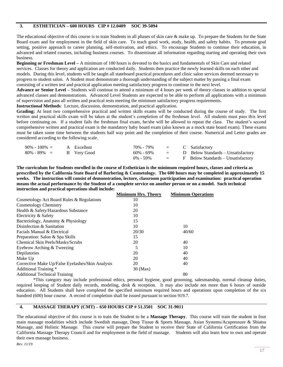#### **3. ESTHETICIAN – 600 HOURS CIP # 12.0409 SOC 39-5094**

The educational objective of this course is to train Students in all phases of skin care & make up. To prepare the Students for the State Board exam and for employment in the field of skin care. To teach good work, study, health, and safety habits. To promote goal setting, positive approach to career planning, self-motivation, and ethics. To encourage Students to continue their education, in advanced and related courses, including business courses. To disseminate all information regarding starting and operating their own business.

**Beginning or Freshman Level –** A minimum of 100 hours is devoted to the basics and fundamentals of Skin Care and related services. Classes for theory and application are conducted daily. Students then practice the newly learned skills on each other and models. During this level, students will be taught all stateboard practical procedures and clinic salon services deemed necessary to progress to student salon. A Student must demonstrate a thorough understanding of the subject matter by passing a final exam consisting of a written test and practical application meeting satisfactory progress to continue to the next level.

**Advance or Senior Level –** Students will continue to attend a minimum of 4 hours per week of theory classes in addition to special advanced classes and demonstrations. Advanced Level Students are expected to be able to perform all applications with a minimum of supervision and pass all written and practical tests meeting the minimum satisfactory progress requirements.

**Instructional Methods**: Lecture, discussion, demonstration, and practical application.

Grading; At least two comprehensive practical and written skills exams will be conducted during the course of study. The first written and practical skills exam will be taken at the student's completion of the freshman level. All students must pass this level before continuing on. If a student fails the freshman final exam, he/she will be allowed to repeat the class. The student's second comprehensive written and practical exam is the mandatory baby board exam (also known as a mock state board exam). These exams must be taken some time between the students half way point and the completion of their course. Numerical and Letter grades are considered according to the following scale.

| $90\% - 100\% =$            | A Excellent | $70\%$ - $79\%$ = C Satisfactory |  |                                        |
|-----------------------------|-------------|----------------------------------|--|----------------------------------------|
| $80\% - 89\% =$ B Very Good |             | 60% - 69%                        |  | $=$ D Below Standards – Unsatisfactory |
|                             |             | $0\% - 59\%$                     |  | $=$ F Below Standards – Unsatisfactory |

**The curriculum for Students enrolled in the course of Esthetician is the minimum required hours, classes and criteria as prescribed by the California State Board of Barbering & Cosmetology. The 600 hours may be completed in approximately 15 weeks. The instruction will consist of demonstration, lecture, classroom participation and examination: practical operation means the actual performance by the Student of a complete service on another person or on a model. Such technical instruction and practical operations shall include:**

|                                                  | <b>Minimum Hrs. Theory</b> | <b>Minimum Operations</b> |
|--------------------------------------------------|----------------------------|---------------------------|
| Cosmetology Act Board Rules & Regulations        | 10                         |                           |
| Cosmetology Chemistry                            | 10                         |                           |
| Health & Safety/Hazardous Substance              | 20                         |                           |
| Electricity & Safety                             | 10                         |                           |
| Bacteriology, Anatomy & Physiology               | 15                         |                           |
| Disinfection & Sanitation                        | 10                         | 10                        |
| Facials Manual & Electrical                      | 20/30                      | 40/60                     |
| Preparation: Salon & Spa Skills                  | 15                         |                           |
| Chemical Skin Peels/Masks/Scrubs                 | 20                         | 40                        |
| Eyebrow Arching & Tweezing                       | 5                          | 10                        |
| Depilatories                                     | 20                         | 40                        |
| Make Up                                          | 20                         | 40                        |
| Corrective Make Up/False Eyelashes/Skin Analysis | 20                         | 40                        |
| Additional Training *                            | 30 (Max)                   |                           |
| <b>Additional Technical Training</b>             |                            | 80                        |

\*This category may include professional ethics, personal hygiene, good grooming, salesmanship, normal cleanup duties, required keeping of Student daily records, modeling, desk & reception. It may also include not more than 6 hours of outside education. All Students shall have completed the specified minimum required hours and operations upon completion of the six hundred (600) hour course. A record of completion shall be issued pursuant to section 919.7.

#### **4. MASSAGE THERAPY (CMT) – 650 HOURS CIP # 51.3501 SOC 31-9011**

The educational objective of this course is to train the Student to be a **Massage Therapy**. This course will train the student in four main massage modalities which include Swedish massage, Deep Tissue & Sports Massage, Asian Systems/Acupressure & Shiatsu Massage, and Holistic Massage. This course will prepare the Student to receive their State of California Certification from the California Massage Therapy Council and for employment in the field of massage. Students will also learn how to own and operate their own massage business.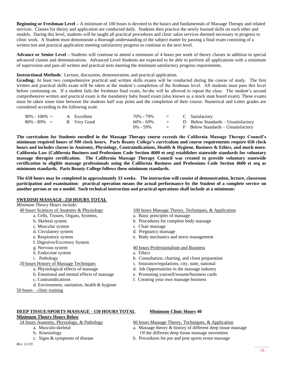**Beginning or Freshman Level –** A minimum of 100 hours is devoted to the basics and fundamentals of Massage Therapy and related services. Classes for theory and application are conducted daily. Students then practice the newly learned skills on each other and models. During this level, students will be taught all practical procedures and clinic salon services deemed necessary to progress to clinic work. A Student must demonstrate a thorough understanding of the subject matter by passing a final exam consisting of a written test and practical application meeting satisfactory progress to continue to the next level.

**Advance or Senior Level –** Students will continue to attend a minimum of 4 hours per week of theory classes in addition to special advanced classes and demonstrations. Advanced Level Students are expected to be able to perform all applications with a minimum of supervision and pass all written and practical tests meeting the minimum satisfactory progress requirements.

**Instructional Methods**: Lecture, discussion, demonstration, and practical application.

Grading; At least two comprehensive practical and written skills exams will be conducted during the course of study. The first written and practical skills exam will be taken at the student's completion of the freshman level. All students must pass this level before continuing on. If a student fails the freshman final exam, he/she will be allowed to repeat the class. The student's second comprehensive written and practical exam is the mandatory baby board exam (also known as a mock state board exam). These exams must be taken some time between the students half way point and the completion of their course. Numerical and Letter grades are considered according to the following scale.

| $90\% - 100\% = A$ Excellent |  | $70\%$ - $79\%$ = C Satisfactory |  |                                        |
|------------------------------|--|----------------------------------|--|----------------------------------------|
| $80\% - 89\% =$ B Very Good  |  | 60% - 69%                        |  | $=$ D Below Standards – Unsatisfactory |
|                              |  | $0\% - 59\%$                     |  | $=$ F Below Standards – Unsatisfactory |

**The curriculum for Students enrolled in the Massage Therapy course exceeds the California Massage Therapy Council's minimum required hours of 500 clock hours. Paris Beauty College's curriculum and course requirements require 650 clock hours and includes classes in Anatomy, Physiology, Contraindications, Health & Hygiene, Business & Ethics, and much more. California Law (California Business and Professions Code Section 4600 et seq) establishes statewide standards for voluntary massage therapist certification. The California Massage Therapy Council was created to provide voluntary statewide certification to eligible massage professionals using the California Business and Professions Code Section 4600 et seq as minimum standards. Paris Beauty College follows these minimum standards.**

**The 650 hours may be completed in approximately 33 weeks. The instruction will consist of demonstration, lecture, classroom participation and examination: practical operation means the actual performance by the Student of a complete service on another person or on a model. Such technical instruction and practical operations shall include at a minimum:**

#### **SWEDISH MASSAGE- 250 HOURS TOTAL**

| Minimum Theory Hours include:                  |                                                     |
|------------------------------------------------|-----------------------------------------------------|
| 40 hours Sciences of Anatomy & Physiology      | 100 hours Massage Theory, Techniques, & Application |
| a. Cells, Tissues, Organs, Systems,            | a. Basic principles of massage                      |
| b. Skeletal system                             | b. Procedures for complete body massage             |
| c. Muscular system                             | c. Chair massage                                    |
| d. Circulatory system                          | d. Pregnancy massage                                |
| e. Respiratory system                          | e. Body mechanics and stress management             |
| f. Digestive/Excretory System                  |                                                     |
| g. Nervous system                              | 40 hours Professionalism and Business               |
| h. Endocrine system                            | a. Ethics                                           |
| Pathology<br>1.                                | b. Consultation, charting, and client preparation   |
| 20 hours History of Massage Techniques         | c. Insurance/regulations, city, state, national     |
| a. Physiological effects of massage            | d. Job Opportunities in the massage industry        |
| b. Emotional and mental effects of massage     | e. Promoting yourself/resume/business cards         |
| c. Contraindications                           | f. Creating your own massage business               |
| d. Environment, sanitation, health $&$ hygiene |                                                     |
| $50$ hours – clinic training                   |                                                     |

#### **DEEP TISSUE/SPORTS MASSAGE - 150 HOURS TOTAL Minimum Clinic Hours 40**

#### **Minimum Theory Hours Below**

24 hours Anatomy, Physiology, & Pathology 60 hours Massage Theory, Techniques, & Application

- 
- 
- 

#### *Rev. 11/19*

a. Musculo-skeletal a. Massage theory & history of different deep tissue massage

- b. Kinesiology Of the different deep tissue massage movement c. Signs & symptoms of disease b. Procedures for pre and post sports event massage
	- b. Procedures for pre and post sports event massage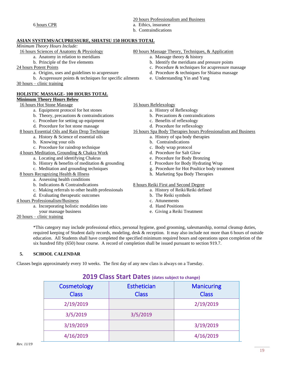#### 20 hours Professionalism and Business

- 6 hours CPR a. Ethics, insurance
	- b. Contraindications

#### **ASIAN SYSTEMS/ACUPRESSURE, SHIATSU 150 HOURS TOTAL**

## *Minimum Theory Hours Include:*

- -
- 
- -
	- b. Acupressure points  $&$  techniques for specific ailments e. Understanding Yin and Yang

30 hours – clinic training

#### **HOLISTIC MASSAGE- 100 HOURS TOTAL**

### **Minimum Theory Hours Below**

- a. Equipment protocol for hot stones a. History of Reflexology
- b. Theory, precautions  $\&$  contraindications b. Precautions  $\&$  contraindications
- c. Procedure for setting up equipment c. Benefits of reflexology
- d. Procedure for hot stone massage d. Procedure for reflexology
- - a. History  $\&$  Science of essential oils  $\qquad \qquad$  a. History of spa body therapies
	- b. Knowing your oils b. Contraindications
	- c. Procedure for raindrop technique c. Body wrap protocol
- 4 hours Meditation, Grounding & Chakra Work d. Procedure for Salt Glow
	- a. Locating and identifying Chakras e. Procedure for Body Bronzing
	- b. History & benefits of meditation & grounding f. Procedure for Body Hydrating Wrap
	-
- 8 hours Recognizing Health & Illness h. Marketing Spa Body Therapies
	- a. Assessing health conditions
	-
	- c. Making referrals to other health professionals a. History of Reiki/Reiki defined
	- d. Evaluating therapeutic outcomes b. The Reiki symbols

#### 4 hours Professionalism/Business c. Attunements

- a. Incorporating holistic modalities into d. Hand Positions
- your massage business e. Giving a Reiki Treatment
- 20 hours clinic training
- 16 hours Sciences of Anatomy & Physiology 80 hours Massage Theory, Techniques, & Application
	- a. Anatomy in relation to meridians a. Massage theory & history
	- b. Principle of the five elements b. Identify the meridians and pressure points
- 24 hours Potent Points 24 hours Potent Points c. Procedure & techniques for acupressure massage
	- a. Origins, uses and guidelines to acupressure d. Procedure & techniques for Shiatsu massage
		-

#### 16 hours Hot Stone Massage 16 hours Refelexology

- 
- 
- 
- 
- 8 hours Essential Oils and Rain Drop Technique 16 hours Spa Body Therapies hours Professionalism and Business
	- -
		-
		-
		-
		-
	- c. Meditation and grounding techniques g. Procedure for Hot Poultice body treatment
		-

#### b. Indications & Contraindications 8 hours Reiki First and Second Degree

- 
- 
- 
- 
- 

\*This category may include professional ethics, personal hygiene, good grooming, salesmanship, normal cleanup duties, required keeping of Student daily records, modeling, desk & reception. It may also include not more than 6 hours of outside education. All Students shall have completed the specified minimum required hours and operations upon completion of the six hundred fifty (650) hour course. A record of completion shall be issued pursuant to section 919.7.

#### **5. SCHOOL CALENDAR**

Classes begin approximately every 10 weeks. The first day of any new class is always on a Tuesday.

## **2019 Class Start Dates (dates subject to change)**

| Cosmetology<br><b>Class</b> | <b>Esthetician</b><br><b>Class</b> | <b>Manicuring</b><br><b>Class</b> |
|-----------------------------|------------------------------------|-----------------------------------|
| 2/19/2019                   |                                    | 2/19/2019                         |
| 3/5/2019                    | 3/5/2019                           |                                   |
| 3/19/2019                   |                                    | 3/19/2019                         |
| 4/16/2019                   |                                    | 4/16/2019                         |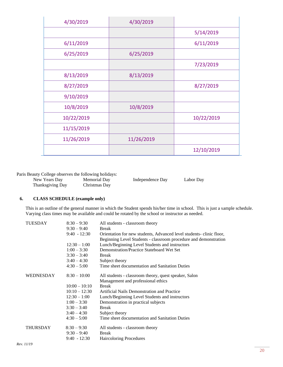| 4/30/2019  | 4/30/2019  |            |
|------------|------------|------------|
|            |            | 5/14/2019  |
| 6/11/2019  |            | 6/11/2019  |
| 6/25/2019  | 6/25/2019  |            |
|            |            | 7/23/2019  |
| 8/13/2019  | 8/13/2019  |            |
| 8/27/2019  |            | 8/27/2019  |
| 9/10/2019  |            |            |
| 10/8/2019  | 10/8/2019  |            |
| 10/22/2019 |            | 10/22/2019 |
| 11/15/2019 |            |            |
| 11/26/2019 | 11/26/2019 |            |
|            |            | 12/10/2019 |

Paris Beauty College observes the following holidays:

| New Years Day    | Memorial Day  | Independence Day | Labor Day |
|------------------|---------------|------------------|-----------|
| Thanksgiving Day | Christmas Day |                  |           |

#### **6. CLASS SCHEDULE (example only)**

This is an outline of the general manner in which the Student spends his/her time in school. This is just a sample schedule. Varying class times may be available and could be rotated by the school or instructor as needed.

| TUESDAY          | $8:30 - 9:30$   | All students - classroom theory                                     |
|------------------|-----------------|---------------------------------------------------------------------|
|                  | $9:30 - 9:40$   | <b>Break</b>                                                        |
|                  | $9:40 - 12:30$  | Orientation for new students, Advanced level students-clinic floor, |
|                  |                 | Beginning Level Students - classroom procedure and demonstration    |
|                  | $12:30 - 1:00$  | Lunch/Beginning Level Students and instructors                      |
|                  | $1:00 - 3:30$   | Demonstration/Practice Stateboard Wet Set                           |
|                  | $3:30 - 3:40$   | <b>Break</b>                                                        |
|                  | $3:40 - 4:30$   | Subject theory                                                      |
|                  | $4:30 - 5:00$   | Time sheet documentation and Sanitation Duties                      |
| <b>WEDNESDAY</b> | $8:30 - 10:00$  | All students - classroom theory, quest speaker, Salon               |
|                  |                 | Management and professional ethics                                  |
|                  | $10:00 - 10:10$ | <b>Break</b>                                                        |
|                  | $10:10 - 12:30$ | Artificial Nails Demonstration and Practice                         |
|                  | $12:30 - 1:00$  | Lunch/Beginning Level Students and instructors                      |
|                  | $1:00 - 3:30$   | Demonstration in practical subjects                                 |
|                  | $3:30 - 3:40$   | <b>Break</b>                                                        |
|                  | $3:40 - 4:30$   | Subject theory                                                      |
|                  | $4:30 - 5:00$   | Time sheet documentation and Sanitation Duties                      |
| <b>THURSDAY</b>  | $8:30 - 9:30$   | All students - classroom theory                                     |
|                  | $9:30 - 9:40$   | <b>Break</b>                                                        |
|                  | $9:40 - 12:30$  | <b>Haircoloring Procedures</b>                                      |
|                  |                 |                                                                     |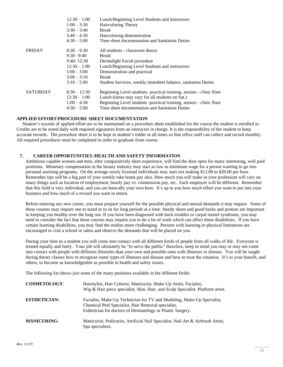|                 | $12:30 - 1:00$ | Lunch/Beginning Level Students and instructors                       |
|-----------------|----------------|----------------------------------------------------------------------|
|                 | $1:00 - 3:30$  | Haircoloring Theory                                                  |
|                 | $3:30 - 3:40$  | <b>Break</b>                                                         |
|                 | $3:40 - 4:30$  | Haircoloring demonstration                                           |
|                 | $4:30 - 5:00$  | Time sheet documentation and Sanitation Duties                       |
| <b>FRIDAY</b>   | $8:30 - 9:30$  | All students - classroom theory                                      |
|                 | $9:30 - 9:40$  | Break                                                                |
|                 | $9:40 - 12:30$ | Dermalight Facial procedure                                          |
|                 | $12:30 - 1:00$ | Lunch/Beginning Level Students and instructors                       |
|                 | $1:00 - 3:00$  | Demonstration and practical                                          |
|                 | $3:00 - 3:10$  | Break                                                                |
|                 | $3:10 - 5:00$  | Student Services, weekly timesheet balance, sanitation Duties        |
| <b>SATURDAY</b> | $8:30 - 12:30$ | Beginning Level students- practical training, seniors - clinic floor |
|                 | $12:30 - 1:00$ | Lunch (times may vary for all students on Sat.)                      |
|                 | $1:00 - 4:30$  | Beginning Level students -practical training, seniors - clinic floor |
|                 | $4:30-5:00$    | Time sheet documentation and Sanitation Duties                       |
|                 |                |                                                                      |

#### **APPLIED EFFORT/PROCEDURE SHEET DOCUMENTATION**

Student's records of applied effort are to be maintained on a procedure sheet established for the course the student is enrolled in. Credits are to be noted daily with required signatures from an instructor in charge. It is the responsibility of the student to keep accurate records. The procedure sheet is to be kept in student's folder at all times so that office staff can collect and record monthly. All required procedures must be completed in order to graduate from course.

#### **7. CAREER OPPORTUNITIES /HEALTH AND SAFETY INFORMATION**

Ambitious capable women and men, after comparatively short experience, will find the door open for many interesting, well paid positions. Monetary compensation in the beauty industry may start as low as minimum wage for a person wanting to go into personal assisting programs. On the average newly licensed individuals may start out making \$12.00 to \$20.00 per hour. Remember tips will be a big part of your weekly take home pay also. How much you will make in your profession will vary on many things such as location of employment, hourly pay vs. commission pay, etc. Each employer will be different. Remember that this field is very individual, and you are basically your own boss. It's up to you how much effort you want to put into your business and how much of a reward you want in return.

Before entering any new career, you must prepare yourself for the possible physical and mental demands it may require. Some of these courses may require one to stand or to sit for long periods at a time. Sturdy shoes and good backs and posture are important in keeping you healthy over the long run. If you have been diagnosed with back troubles or carpal tunnel syndrome, you may need to consider the fact that these courses may require you to do a lot of work which can affect these disabilities. If you have certain learning disabilities, you may find the studies more challenging. Persons with learning or physical limitations are encouraged to visit a school or salon and observe the demands that will be placed on you.

During your time as a student you will come into contact with all different kinds of people from all walks of life. Everyone is treated equally and fairly. Your job will ultimately be "to serve the public" therefore, keep in mind you may or may not come into contact with people with different lifestyles than your own and possible ones with illnesses or disease. You will be taught during theory classes how to recognize some types of illnesses and disease and how to treat the situation. It's to your benefit, and others, to become as knowledgeable as possible in health and safety issues.

The following list shows just some of the many positions available in the different fields:

| <b>COSMETOLOGY:</b> | Hairstylist, Hair Colorist, Manicurist, Make-Up Artist, Facialist,<br>Wig & Hair piece specialist, Skin, Hair, and Scalp Specialist. Platform artist.                                      |
|---------------------|--------------------------------------------------------------------------------------------------------------------------------------------------------------------------------------------|
| <b>ESTHETICIAN:</b> | Facialist, Make-Up Technician for TV and Modeling, Make-Up Specialist,<br>Chemical Peel Specialist, Hair Removal specialist,<br>Esthetician for doctors of Dermatology or Plastic Surgery. |
| <b>MANICURING:</b>  | Manicurist, Pedicurist, Artificial Nail Specialist, Nail Art & Airbrush Artist,<br>Spa specialties.                                                                                        |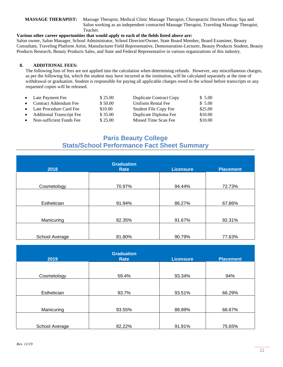**MASSAGE THERAPIST:** Massage Therapist, Medical Clinic Massage Therapist, Chiropractic Doctors office, Spa and Salon working as an independent contracted Massage Therapist, Traveling Massage Therapist, Teacher.

#### **Various other career opportunities that would apply to each of the fields listed above are:**

Salon owner, Salon Manager, School Administrator, School Director/Owner, State Board Member, Board Examiner, Beauty Consultant, Traveling Platform Artist, Manufacturer Field Representative, Demonstration-Lecturer, Beauty Products Student, Beauty Products Research, Beauty Products Sales, and State and Federal Representative in various organizations of this industry.

#### **8. ADDITIONAL FEES:**

The following lists of fees are not applied into the calculation when determining refunds. However, any miscellaneous charges, as per the following list, which the student may have incurred at the institution, will be calculated separately at the time of withdrawal or graduation. Student is responsible for paying all applicable charges owed to the school before transcripts or any requested copies will be released.

|           | • Late Payment Fee                 | \$25.00 | <b>Duplicate Contract Copy</b> | \$5.00  |
|-----------|------------------------------------|---------|--------------------------------|---------|
|           | • Contract Addendum Fee            | \$50.00 | Uniform Rental Fee             | \$5.00  |
|           | • Late Procedure Card Fee          | \$10.00 | Student File Copy Fee          | \$25.00 |
| $\bullet$ | <b>Additional Transcript Fee</b>   | \$35.00 | Duplicate Diploma Fee          | \$10.00 |
|           | $\bullet$ Non-sufficient Funds Fee | \$25.00 | Missed Time Scan Fee           | \$10.00 |

## **Paris Beauty College Stats/School Performance Fact Sheet Summary**

| 2018           | <b>Graduation</b><br>Rate | <b>Licensure</b> | <b>Placement</b> |
|----------------|---------------------------|------------------|------------------|
| Cosmetology    | 70.97%                    | 94.44%           | 72.73%           |
| Esthetician    | 91.94%                    | 86.27%           | 67.86%           |
| Manicuring     | 82.35%                    | 91.67%           | 92.31%           |
| School Average | 81.80%                    | 90.79%           | 77.63%           |

| 2019           | <b>Graduation</b><br>Rate | <b>Licensure</b> | <b>Placement</b> |
|----------------|---------------------------|------------------|------------------|
|                |                           |                  |                  |
| Cosmetology    | 59.4%                     | 93.34%           | 94%              |
| Esthetician    | 93.7%                     | 93.51%           | 66.29%           |
| Manicuring     | 93.55%                    | 88.89%           | 66.67%           |
| School Average | 82.22%                    | 91.91%           | 75.65%           |